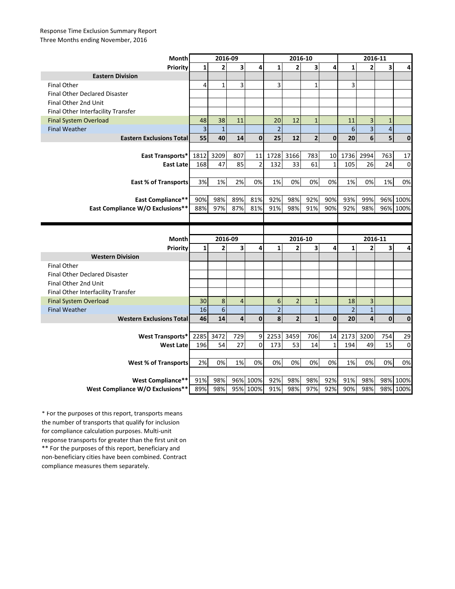## Response Time Exclusion Summary Report Three Months ending November, 2016

| Month                                | 2016-09                 |                |                |                  | 2016-10        |                |                |              | 2016-11         |                         |                         |              |
|--------------------------------------|-------------------------|----------------|----------------|------------------|----------------|----------------|----------------|--------------|-----------------|-------------------------|-------------------------|--------------|
| Priority                             | $\mathbf{1}$            | $\overline{2}$ | 3              | 4                | $\mathbf{1}$   | $\overline{2}$ | 3              | 4            | $\mathbf{1}$    | $\overline{2}$          | 3                       | 4            |
| <b>Eastern Division</b>              |                         |                |                |                  |                |                |                |              |                 |                         |                         |              |
| <b>Final Other</b>                   | 4                       | $\mathbf{1}$   | 3              |                  | 3              |                | $\mathbf{1}$   |              | 3               |                         |                         |              |
| <b>Final Other Declared Disaster</b> |                         |                |                |                  |                |                |                |              |                 |                         |                         |              |
| Final Other 2nd Unit                 |                         |                |                |                  |                |                |                |              |                 |                         |                         |              |
| Final Other Interfacility Transfer   |                         |                |                |                  |                |                |                |              |                 |                         |                         |              |
| <b>Final System Overload</b>         | 48                      | 38             | 11             |                  | 20             | 12             | $\mathbf{1}$   |              | 11              | 3                       | $\mathbf 1$             |              |
| <b>Final Weather</b>                 | $\overline{\mathbf{3}}$ | $\mathbf{1}$   |                |                  | $\overline{2}$ |                |                |              | $6\phantom{1}6$ | $\overline{\mathbf{3}}$ | $\overline{\mathbf{4}}$ |              |
| <b>Eastern Exclusions Total</b>      | 55                      | 40             | 14             | $\mathbf{0}$     | 25             | 12             | $\overline{2}$ | $\mathbf 0$  | 20              | 6                       | 5                       | $\mathbf{0}$ |
|                                      |                         |                |                |                  |                |                |                |              |                 |                         |                         |              |
| East Transports*                     | 1812                    | 3209           | 807            | 11               | 1728           | 3166           | 783            | 10           | 1736            | 2994                    | 763                     | 17           |
| <b>East Late</b>                     | 168                     | 47             | 85             | $\overline{2}$   | 132            | 33             | 61             | $\mathbf{1}$ | 105             | 26                      | 24                      | $\mathbf 0$  |
|                                      |                         |                |                |                  |                |                |                |              |                 |                         |                         |              |
| <b>East % of Transports</b>          | 3%                      | 1%             | 2%             | 0%               | 1%             | 0%             | 0%             | 0%           | 1%              | 0%                      | 1%                      | 0%           |
|                                      |                         |                |                |                  |                |                |                |              |                 |                         |                         |              |
| <b>East Compliance**</b>             | 90%                     | 98%            | 89%            | 81%              | 92%            | 98%            | 92%            | 90%          | 93%             | 99%                     | 96%                     | 100%         |
| East Compliance W/O Exclusions**     | 88%                     | 97%            | 87%            | 81%              | 91%            | 98%            | 91%            | 90%          | 92%             | 98%                     |                         | 96% 100%     |
|                                      |                         |                |                |                  |                |                |                |              |                 |                         |                         |              |
|                                      |                         |                |                |                  |                |                |                |              |                 |                         |                         |              |
|                                      |                         |                |                |                  |                |                |                |              |                 |                         |                         |              |
| Month                                |                         | 2016-09        |                |                  |                | 2016-10        |                |              |                 | 2016-11                 |                         |              |
| Priority                             | $\mathbf{1}$            | $\overline{2}$ | 3              | 4                | $\mathbf{1}$   | $\overline{2}$ | 3              | 4            | $\mathbf{1}$    | $\overline{2}$          | 3                       | 4            |
| <b>Western Division</b>              |                         |                |                |                  |                |                |                |              |                 |                         |                         |              |
| <b>Final Other</b>                   |                         |                |                |                  |                |                |                |              |                 |                         |                         |              |
| <b>Final Other Declared Disaster</b> |                         |                |                |                  |                |                |                |              |                 |                         |                         |              |
| Final Other 2nd Unit                 |                         |                |                |                  |                |                |                |              |                 |                         |                         |              |
| Final Other Interfacility Transfer   |                         |                |                |                  |                |                |                |              |                 |                         |                         |              |
| <b>Final System Overload</b>         | 30                      | 8              | $\overline{4}$ |                  | 6              | $\overline{2}$ | $\mathbf{1}$   |              | 18              | 3                       |                         |              |
| <b>Final Weather</b>                 | 16                      | $6\phantom{a}$ |                |                  | $\overline{2}$ |                |                |              | $\overline{2}$  | $\overline{1}$          |                         |              |
| <b>Western Exclusions Total</b>      | 46                      | 14             | $\overline{4}$ | $\mathbf 0$      | 8              | $\overline{2}$ | $\mathbf{1}$   | $\mathbf 0$  | 20              | $\overline{a}$          | $\mathbf 0$             | $\pmb{0}$    |
|                                      |                         |                |                |                  |                |                |                |              |                 |                         |                         |              |
| <b>West Transports*</b>              | 2285                    | 3472           | 729            | 9                | 2253           | 3459           | 706            | 14           | 2173            | 3200                    | 754                     | 29           |
| <b>West Late</b>                     | 196                     | 54             | 27             | $\Omega$         | 173            | 53             | 14             | $\mathbf{1}$ | 194             | 49                      | 15                      | $\mathbf 0$  |
|                                      |                         |                |                |                  |                |                |                |              |                 |                         |                         |              |
| <b>West % of Transports</b>          | 2%                      | 0%             | 1%             | 0%               | 0%             | 0%             | 0%             | 0%           | 1%              | 0%                      | 0%                      | 0%           |
|                                      |                         |                |                |                  |                |                |                |              |                 |                         |                         |              |
| <b>West Compliance**</b>             | 91%                     | 98%            | 96%            | 100%<br>95% 100% | 92%            | 98%            | 98%            | 92%          | 91%             | 98%                     | 98%                     | 100%         |

\*\* For the purposes of this report, beneficiary and non-beneficiary cities have been combined. Contract compliance measures them separately. \* For the purposes of this report, transports means the number of transports that qualify for inclusion for compliance calculation purposes. Multi-unit response transports for greater than the first unit on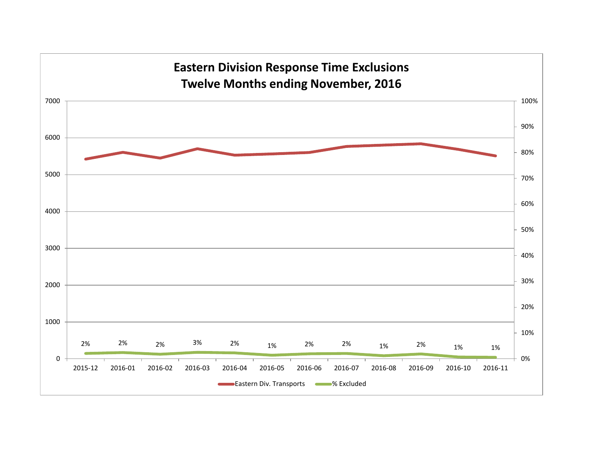